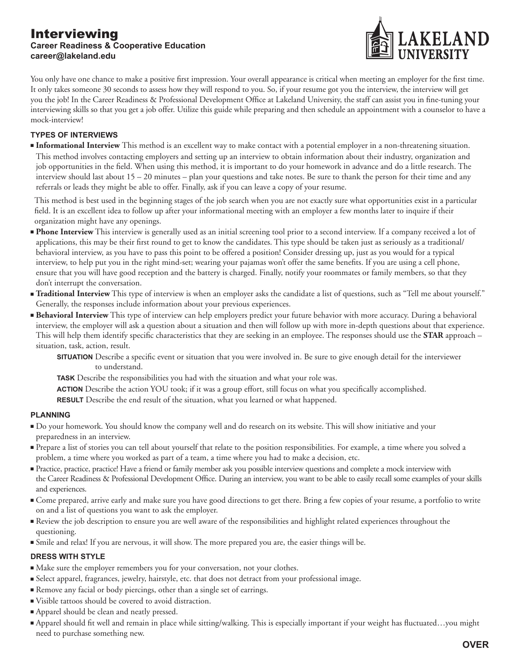### Interviewing **Career Readiness & Cooperative Education career@lakeland.edu**



You only have one chance to make a positive first impression. Your overall appearance is critical when meeting an employer for the first time. It only takes someone 30 seconds to assess how they will respond to you. So, if your resume got you the interview, the interview will get you the job! In the Career Readiness & Professional Development Office at Lakeland University, the staff can assist you in fine-tuning your interviewing skills so that you get a job offer. Utilize this guide while preparing and then schedule an appointment with a counselor to have a mock-interview!

### **TYPES OF INTERVIEWS**

**Informational Interview** This method is an excellent way to make contact with a potential employer in a non-threatening situation. This method involves contacting employers and setting up an interview to obtain information about their industry, organization and job opportunities in the field. When using this method, it is important to do your homework in advance and do a little research. The interview should last about 15 – 20 minutes – plan your questions and take notes. Be sure to thank the person for their time and any referrals or leads they might be able to offer. Finally, ask if you can leave a copy of your resume.

 This method is best used in the beginning stages of the job search when you are not exactly sure what opportunities exist in a particular field. It is an excellent idea to follow up after your informational meeting with an employer a few months later to inquire if their organization might have any openings.

- **Phone Interview** This interview is generally used as an initial screening tool prior to a second interview. If a company received a lot of applications, this may be their first round to get to know the candidates. This type should be taken just as seriously as a traditional/ behavioral interview, as you have to pass this point to be offered a position! Consider dressing up, just as you would for a typical interview, to help put you in the right mind-set; wearing your pajamas won't offer the same benefits. If you are using a cell phone, ensure that you will have good reception and the battery is charged. Finally, notify your roommates or family members, so that they don't interrupt the conversation.
- Traditional Interview This type of interview is when an employer asks the candidate a list of questions, such as "Tell me about yourself." Generally, the responses include information about your previous experiences.
- **Behavioral Interview** This type of interview can help employers predict your future behavior with more accuracy. During a behavioral interview, the employer will ask a question about a situation and then will follow up with more in-depth questions about that experience. This will help them identify specific characteristics that they are seeking in an employee. The responses should use the **STAR** approach – situation, task, action, result.
	- **SITUATION** Describe a specific event or situation that you were involved in. Be sure to give enough detail for the interviewer to understand.
	- **TASK** Describe the responsibilities you had with the situation and what your role was.
	- **ACTION** Describe the action YOU took; if it was a group effort, still focus on what you specifically accomplished.
	- **RESULT** Describe the end result of the situation, what you learned or what happened.

#### **PLANNING**

- <sup>n</sup> Do your homework. You should know the company well and do research on its website. This will show initiative and your preparedness in an interview.
- <sup>n</sup> Prepare a list of stories you can tell about yourself that relate to the position responsibilities. For example, a time where you solved a problem, a time where you worked as part of a team, a time where you had to make a decision, etc.
- <sup>n</sup> Practice, practice, practice! Have a friend or family member ask you possible interview questions and complete a mock interview with the Career Readiness & Professional Development Office. During an interview, you want to be able to easily recall some examples of your skills and experiences.
- <sup>n</sup> Come prepared, arrive early and make sure you have good directions to get there. Bring a few copies of your resume, a portfolio to write on and a list of questions you want to ask the employer.
- <sup>n</sup> Review the job description to ensure you are well aware of the responsibilities and highlight related experiences throughout the questioning.
- <sup>n</sup> Smile and relax! If you are nervous, it will show. The more prepared you are, the easier things will be.

#### **DRESS WITH STYLE**

- <sup>n</sup> Make sure the employer remembers you for your conversation, not your clothes.
- <sup>n</sup> Select apparel, fragrances, jewelry, hairstyle, etc. that does not detract from your professional image.
- <sup>n</sup> Remove any facial or body piercings, other than a single set of earrings.
- <sup>n</sup> Visible tattoos should be covered to avoid distraction.
- <sup>n</sup> Apparel should be clean and neatly pressed.
- Apparel should fit well and remain in place while sitting/walking. This is especially important if your weight has fluctuated…you might need to purchase something new.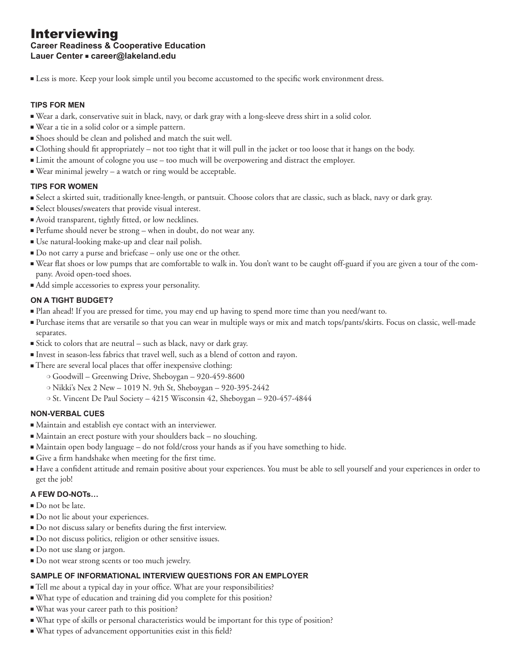# Interviewing

# **Career Readiness & Cooperative Education**

**Lauer Center ■ career@lakeland.edu** 

<sup>n</sup> Less is more. Keep your look simple until you become accustomed to the specific work environment dress.

#### **TIPS FOR MEN**

- <sup>n</sup> Wear a dark, conservative suit in black, navy, or dark gray with a long-sleeve dress shirt in a solid color.
- <sup>n</sup> Wear a tie in a solid color or a simple pattern.
- <sup>n</sup> Shoes should be clean and polished and match the suit well.
- <sup>n</sup> Clothing should fit appropriately not too tight that it will pull in the jacket or too loose that it hangs on the body.
- <sup>n</sup> Limit the amount of cologne you use too much will be overpowering and distract the employer.
- $\blacksquare$  Wear minimal jewelry a watch or ring would be acceptable.

#### **TIPS FOR WOMEN**

- <sup>n</sup> Select a skirted suit, traditionally knee-length, or pantsuit. Choose colors that are classic, such as black, navy or dark gray.
- <sup>n</sup> Select blouses/sweaters that provide visual interest.
- <sup>n</sup> Avoid transparent, tightly fitted, or low necklines.
- <sup>n</sup> Perfume should never be strong when in doubt, do not wear any.
- <sup>n</sup> Use natural-looking make-up and clear nail polish.
- <sup>n</sup> Do not carry a purse and briefcase only use one or the other.
- <sup>n</sup> Wear flat shoes or low pumps that are comfortable to walk in. You don't want to be caught off-guard if you are given a tour of the company. Avoid open-toed shoes.
- $\blacksquare$  Add simple accessories to express your personality.

#### **ON A TIGHT BUDGET?**

- <sup>n</sup> Plan ahead! If you are pressed for time, you may end up having to spend more time than you need/want to.
- <sup>n</sup> Purchase items that are versatile so that you can wear in multiple ways or mix and match tops/pants/skirts. Focus on classic, well-made separates.
- <sup>n</sup> Stick to colors that are neutral such as black, navy or dark gray.
- <sup>n</sup> Invest in season-less fabrics that travel well, such as a blend of cotton and rayon.
- <sup>n</sup> There are several local places that offer inexpensive clothing:
	- o Goodwill Greenwing Drive, Sheboygan 920-459-8600
	- <sup>m</sup> Nikki's Nex 2 New 1019 N. 9th St, Sheboygan 920-395-2442
	- <sup>m</sup> St. Vincent De Paul Society 4215 Wisconsin 42, Sheboygan 920-457-4844

#### **NON-VERBAL CUES**

- <sup>n</sup> Maintain and establish eye contact with an interviewer.
- $\blacksquare$  Maintain an erect posture with your shoulders back no slouching.
- <sup>n</sup> Maintain open body language do not fold/cross your hands as if you have something to hide.
- <sup>n</sup> Give a firm handshake when meeting for the first time.
- <sup>n</sup> Have a confident attitude and remain positive about your experiences. You must be able to sell yourself and your experiences in order to get the job!

#### **A FEW DO-NOTs…**

- Do not be late.
- <sup>n</sup> Do not lie about your experiences.
- <sup>n</sup> Do not discuss salary or benefits during the first interview.
- <sup>n</sup> Do not discuss politics, religion or other sensitive issues.
- Do not use slang or jargon.
- Do not wear strong scents or too much jewelry.

#### **SAMPLE OF INFORMATIONAL INTERVIEW QUESTIONS FOR AN EMPLOYER**

- <sup>n</sup> Tell me about a typical day in your office. What are your responsibilities?
- <sup>n</sup> What type of education and training did you complete for this position?
- <sup>n</sup> What was your career path to this position?
- <sup>n</sup> What type of skills or personal characteristics would be important for this type of position?
- <sup>n</sup> What types of advancement opportunities exist in this field?